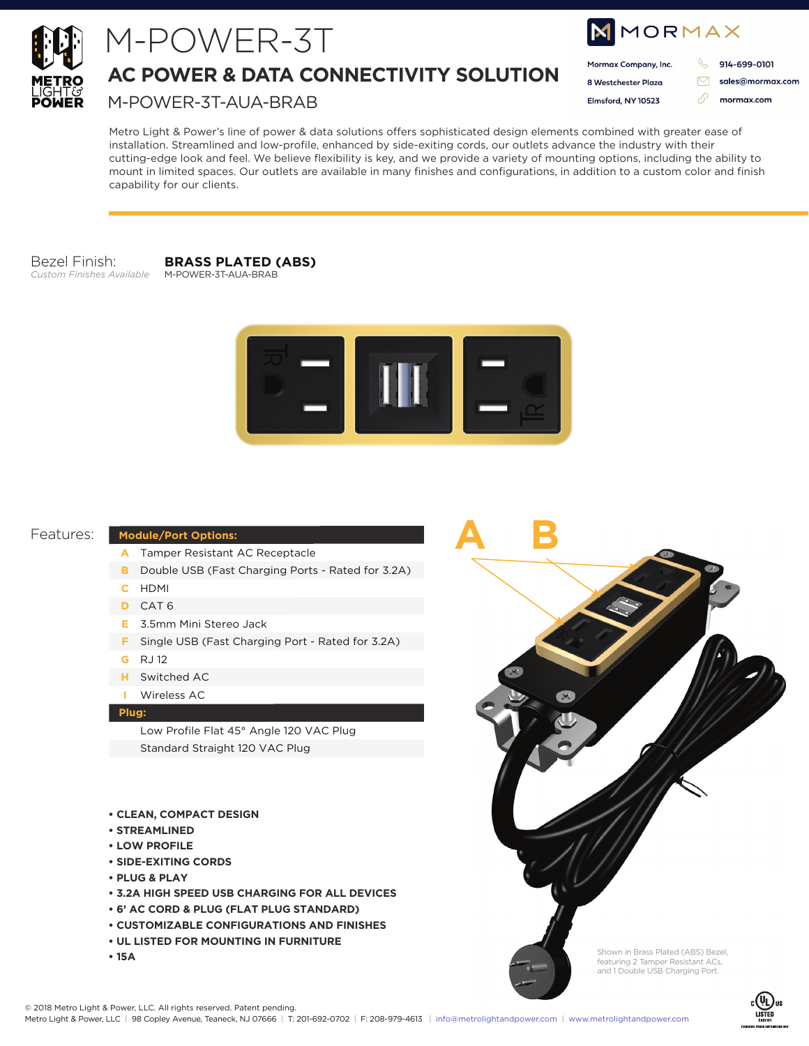

# M-POWER-3T

**AC POWER & DATA CONNECTIVITY SOLUTION**

M-POWER-3T-AUA-BRAB

| MMORMAX              |  |                  |
|----------------------|--|------------------|
| Mormax Company, Inc. |  | 914-699-0101     |
| 8 Westchester Plaza  |  | sales@mormax.com |
| Elmsford, NY 10523   |  | mormax.com       |
|                      |  |                  |

Metro Light & Power's line of power & data solutions offers sophisticated design elements combined with greater ease of installation. Streamlined and low-profile, enhanced by side-exiting cords, our outlets advance the industry with their cutting-edge look and feel. We believe flexibility is key, and we provide a variety of mounting options, including the ability to mount in limited spaces. Our outlets are available in many finishes and configurations, in addition to a custom color and finish capability for our clients.

#### Bezel Finish: *Custom Finishes Available*

**BRASS PLATED (ABS)** M-POWER-3T-AUA-BRAB



**A B**

### Features:

#### **Module/Port Options:**

- Tamper Resistant AC Receptacle **A**
- **B** Double USB (Fast Charging Ports Rated for 3.2A)
- HDMI **C**
- CAT 6 **D**
- 3.5mm Mini Stereo Jack **E**
- **F** Single USB (Fast Charging Port Rated for 3.2A)
- RJ 12 **G**
- Switched AC **H**
- Wireless AC **I**

#### **Plug:**

Low Profile Flat 45° Angle 120 VAC Plug Standard Straight 120 VAC Plug

- **CLEAN, COMPACT DESIGN**
- **STREAMLINED**
- **LOW PROFILE**
- **SIDE-EXITING CORDS**
- **PLUG & PLAY**
- **3.2A HIGH SPEED USB CHARGING FOR ALL DEVICES**
- **6' AC CORD & PLUG (FLAT PLUG STANDARD)**
- **CUSTOMIZABLE CONFIGURATIONS AND FINISHES**
- **UL LISTED FOR MOUNTING IN FURNITURE**
- **15A**



Shown in Brass Plated (ABS) Bezel, featuring 2 Tamper Resistant ACs, and 1 Double USB Charging Port.